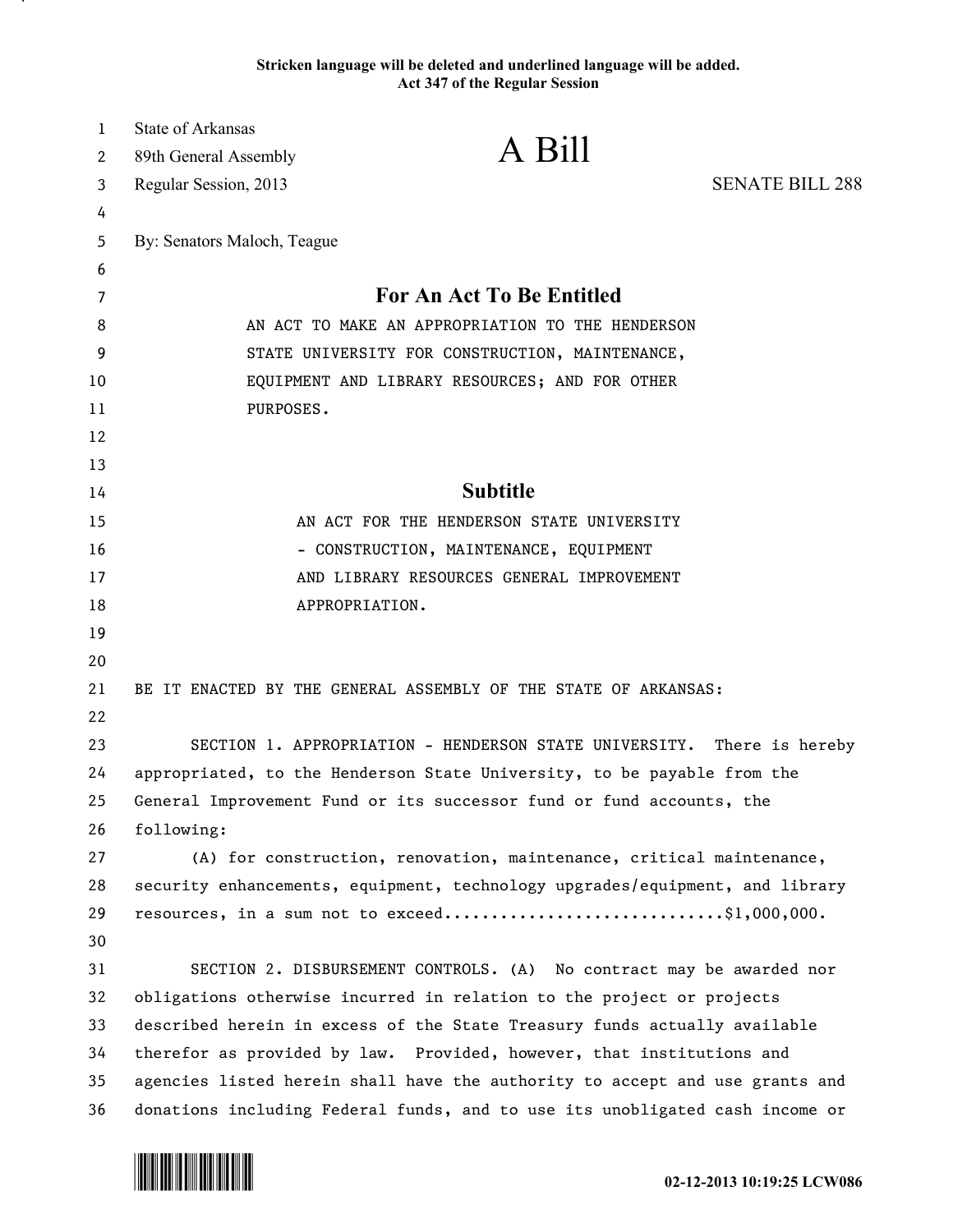## **Stricken language will be deleted and underlined language will be added. Act 347 of the Regular Session**

| $\mathbf{1}$ | <b>State of Arkansas</b>                                                                                                                              |                                                                              |                        |
|--------------|-------------------------------------------------------------------------------------------------------------------------------------------------------|------------------------------------------------------------------------------|------------------------|
| 2            | 89th General Assembly                                                                                                                                 | A Bill                                                                       |                        |
| 3            | Regular Session, 2013                                                                                                                                 |                                                                              | <b>SENATE BILL 288</b> |
| 4            |                                                                                                                                                       |                                                                              |                        |
| 5            | By: Senators Maloch, Teague                                                                                                                           |                                                                              |                        |
| 6            |                                                                                                                                                       |                                                                              |                        |
| 7            | <b>For An Act To Be Entitled</b>                                                                                                                      |                                                                              |                        |
| 8            | AN ACT TO MAKE AN APPROPRIATION TO THE HENDERSON                                                                                                      |                                                                              |                        |
| 9            | STATE UNIVERSITY FOR CONSTRUCTION, MAINTENANCE,                                                                                                       |                                                                              |                        |
| 10           | EQUIPMENT AND LIBRARY RESOURCES; AND FOR OTHER                                                                                                        |                                                                              |                        |
| 11           | PURPOSES.                                                                                                                                             |                                                                              |                        |
| 12           |                                                                                                                                                       |                                                                              |                        |
| 13           |                                                                                                                                                       |                                                                              |                        |
| 14           |                                                                                                                                                       | <b>Subtitle</b>                                                              |                        |
| 15           | AN ACT FOR THE HENDERSON STATE UNIVERSITY                                                                                                             |                                                                              |                        |
| 16           | - CONSTRUCTION, MAINTENANCE, EQUIPMENT                                                                                                                |                                                                              |                        |
| 17           | AND LIBRARY RESOURCES GENERAL IMPROVEMENT                                                                                                             |                                                                              |                        |
| 18           |                                                                                                                                                       | APPROPRIATION.                                                               |                        |
| 19           |                                                                                                                                                       |                                                                              |                        |
| 20           |                                                                                                                                                       |                                                                              |                        |
| 21           |                                                                                                                                                       | BE IT ENACTED BY THE GENERAL ASSEMBLY OF THE STATE OF ARKANSAS:              |                        |
| 22           |                                                                                                                                                       |                                                                              |                        |
| 23           | SECTION 1. APPROPRIATION - HENDERSON STATE UNIVERSITY.<br>There is hereby                                                                             |                                                                              |                        |
| 24           | appropriated, to the Henderson State University, to be payable from the                                                                               |                                                                              |                        |
| 25           | General Improvement Fund or its successor fund or fund accounts, the                                                                                  |                                                                              |                        |
| 26           | following:                                                                                                                                            |                                                                              |                        |
| 27           |                                                                                                                                                       | (A) for construction, renovation, maintenance, critical maintenance,         |                        |
| 28           |                                                                                                                                                       | security enhancements, equipment, technology upgrades/equipment, and library |                        |
| 29           |                                                                                                                                                       | resources, in a sum not to exceed\$1,000,000.                                |                        |
| 30           |                                                                                                                                                       |                                                                              |                        |
| 31           | SECTION 2. DISBURSEMENT CONTROLS. (A) No contract may be awarded nor                                                                                  |                                                                              |                        |
| 32           | obligations otherwise incurred in relation to the project or projects                                                                                 |                                                                              |                        |
| 33           | described herein in excess of the State Treasury funds actually available                                                                             |                                                                              |                        |
| 34<br>35     | therefor as provided by law. Provided, however, that institutions and<br>agencies listed herein shall have the authority to accept and use grants and |                                                                              |                        |
| 36           |                                                                                                                                                       |                                                                              |                        |
|              | donations including Federal funds, and to use its unobligated cash income or                                                                          |                                                                              |                        |



.